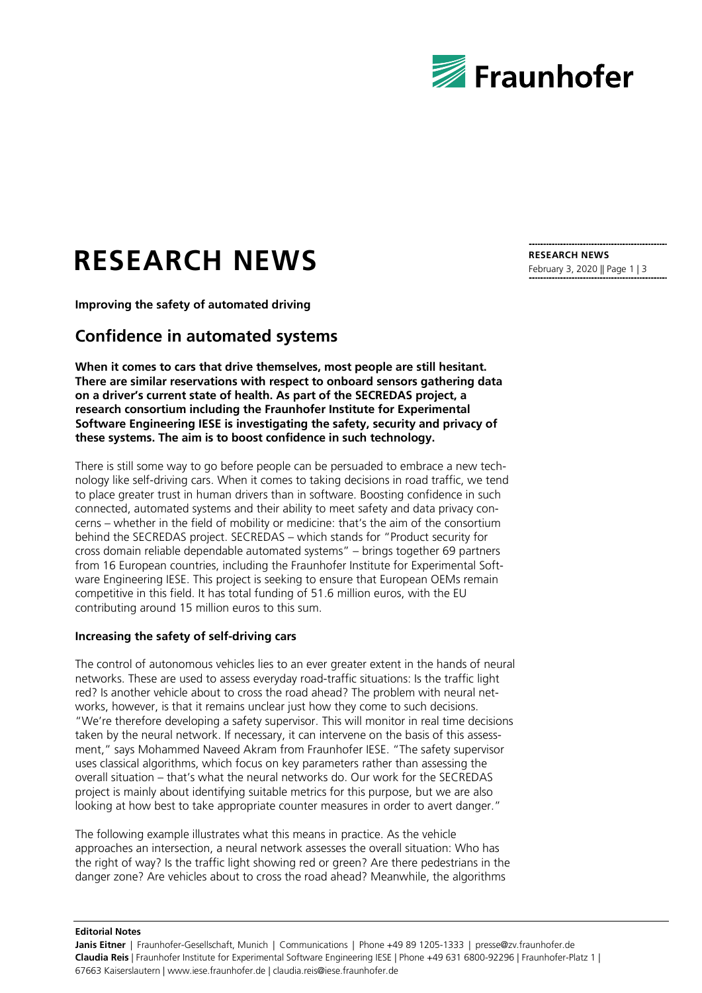

# **RESEARCH NEWS**

**Improving the safety of automated driving**

## **Confidence in automated systems**

**When it comes to cars that drive themselves, most people are still hesitant. There are similar reservations with respect to onboard sensors gathering data on a driver's current state of health. As part of the SECREDAS project, a research consortium including the Fraunhofer Institute for Experimental Software Engineering IESE is investigating the safety, security and privacy of these systems. The aim is to boost confidence in such technology.**

There is still some way to go before people can be persuaded to embrace a new technology like self-driving cars. When it comes to taking decisions in road traffic, we tend to place greater trust in human drivers than in software. Boosting confidence in such connected, automated systems and their ability to meet safety and data privacy concerns – whether in the field of mobility or medicine: that's the aim of the consortium behind the SECREDAS project. SECREDAS – which stands for "Product security for cross domain reliable dependable automated systems" – brings together 69 partners from 16 European countries, including the Fraunhofer Institute for Experimental Software Engineering IESE. This project is seeking to ensure that European OEMs remain competitive in this field. It has total funding of 51.6 million euros, with the EU contributing around 15 million euros to this sum.

#### **Increasing the safety of self-driving cars**

The control of autonomous vehicles lies to an ever greater extent in the hands of neural networks. These are used to assess everyday road-traffic situations: Is the traffic light red? Is another vehicle about to cross the road ahead? The problem with neural networks, however, is that it remains unclear just how they come to such decisions. "We're therefore developing a safety supervisor. This will monitor in real time decisions taken by the neural network. If necessary, it can intervene on the basis of this assessment," says Mohammed Naveed Akram from Fraunhofer IESE. "The safety supervisor uses classical algorithms, which focus on key parameters rather than assessing the overall situation – that's what the neural networks do. Our work for the SECREDAS project is mainly about identifying suitable metrics for this purpose, but we are also looking at how best to take appropriate counter measures in order to avert danger."

The following example illustrates what this means in practice. As the vehicle approaches an intersection, a neural network assesses the overall situation: Who has the right of way? Is the traffic light showing red or green? Are there pedestrians in the danger zone? Are vehicles about to cross the road ahead? Meanwhile, the algorithms

**Editorial Notes**

**Janis Eitner** | Fraunhofer-Gesellschaft, Munich | Communications | Phone +49 89 1205-1333 | presse@zv.fraunhofer.de **Claudia Reis** | Fraunhofer Institute for Experimental Software Engineering IESE | Phone +49 631 6800-92296 | Fraunhofer-Platz 1 | 67663 Kaiserslautern | www.iese.fraunhofer.de | claudia.reis@iese.fraunhofer.de

**RESEARCH NEWS** February 3, 2020 || Page 1 | 3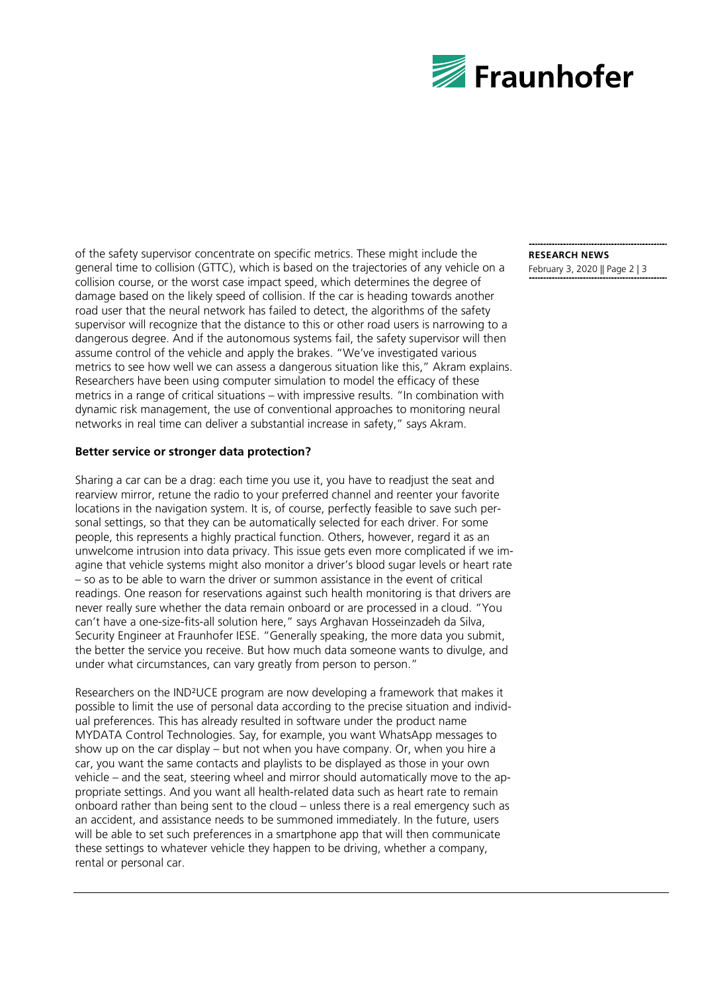

of the safety supervisor concentrate on specific metrics. These might include the general time to collision (GTTC), which is based on the trajectories of any vehicle on a collision course, or the worst case impact speed, which determines the degree of damage based on the likely speed of collision. If the car is heading towards another road user that the neural network has failed to detect, the algorithms of the safety supervisor will recognize that the distance to this or other road users is narrowing to a dangerous degree. And if the autonomous systems fail, the safety supervisor will then assume control of the vehicle and apply the brakes. "We've investigated various metrics to see how well we can assess a dangerous situation like this," Akram explains. Researchers have been using computer simulation to model the efficacy of these metrics in a range of critical situations – with impressive results. "In combination with dynamic risk management, the use of conventional approaches to monitoring neural networks in real time can deliver a substantial increase in safety," says Akram.

#### **Better service or stronger data protection?**

Sharing a car can be a drag: each time you use it, you have to readjust the seat and rearview mirror, retune the radio to your preferred channel and reenter your favorite locations in the navigation system. It is, of course, perfectly feasible to save such personal settings, so that they can be automatically selected for each driver. For some people, this represents a highly practical function. Others, however, regard it as an unwelcome intrusion into data privacy. This issue gets even more complicated if we imagine that vehicle systems might also monitor a driver's blood sugar levels or heart rate – so as to be able to warn the driver or summon assistance in the event of critical readings. One reason for reservations against such health monitoring is that drivers are never really sure whether the data remain onboard or are processed in a cloud. "You can't have a one-size-fits-all solution here," says Arghavan Hosseinzadeh da Silva, Security Engineer at Fraunhofer IESE. "Generally speaking, the more data you submit, the better the service you receive. But how much data someone wants to divulge, and under what circumstances, can vary greatly from person to person."

Researchers on the IND²UCE program are now developing a framework that makes it possible to limit the use of personal data according to the precise situation and individual preferences. This has already resulted in software under the product name MYDATA Control Technologies. Say, for example, you want WhatsApp messages to show up on the car display – but not when you have company. Or, when you hire a car, you want the same contacts and playlists to be displayed as those in your own vehicle – and the seat, steering wheel and mirror should automatically move to the appropriate settings. And you want all health-related data such as heart rate to remain onboard rather than being sent to the cloud – unless there is a real emergency such as an accident, and assistance needs to be summoned immediately. In the future, users will be able to set such preferences in a smartphone app that will then communicate these settings to whatever vehicle they happen to be driving, whether a company, rental or personal car.

### **RESEARCH NEWS**

February 3, 2020 || Page 2 | 3